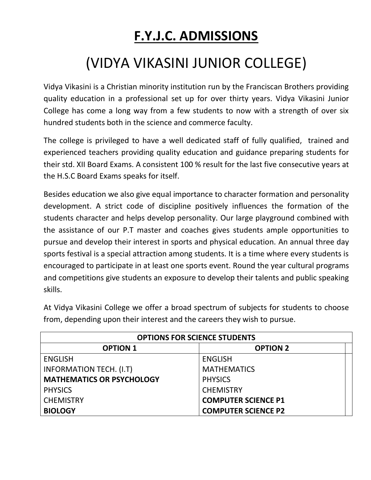## **F.Y.J.C. ADMISSIONS**

## (VIDYA VIKASINI JUNIOR COLLEGE)

Vidya Vikasini is a Christian minority institution run by the Franciscan Brothers providing quality education in a professional set up for over thirty years. Vidya Vikasini Junior College has come a long way from a few students to now with a strength of over six hundred students both in the science and commerce faculty.

The college is privileged to have a well dedicated staff of fully qualified, trained and experienced teachers providing quality education and guidance preparing students for their std. XII Board Exams. A consistent 100 % result for the last five consecutive years at the H.S.C Board Exams speaks for itself.

Besides education we also give equal importance to character formation and personality development. A strict code of discipline positively influences the formation of the students character and helps develop personality. Our large playground combined with the assistance of our P.T master and coaches gives students ample opportunities to pursue and develop their interest in sports and physical education. An annual three day sports festival is a special attraction among students. It is a time where every students is encouraged to participate in at least one sports event. Round the year cultural programs and competitions give students an exposure to develop their talents and public speaking skills.

At Vidya Vikasini College we offer a broad spectrum of subjects for students to choose from, depending upon their interest and the careers they wish to pursue.

| <b>OPTIONS FOR SCIENCE STUDENTS</b> |                            |
|-------------------------------------|----------------------------|
| <b>OPTION 1</b>                     | <b>OPTION 2</b>            |
| <b>ENGLISH</b>                      | <b>ENGLISH</b>             |
| <b>INFORMATION TECH. (I.T)</b>      | <b>MATHEMATICS</b>         |
| <b>MATHEMATICS OR PSYCHOLOGY</b>    | <b>PHYSICS</b>             |
| <b>PHYSICS</b>                      | <b>CHEMISTRY</b>           |
| <b>CHEMISTRY</b>                    | <b>COMPUTER SCIENCE P1</b> |
| <b>BIOLOGY</b>                      | <b>COMPUTER SCIENCE P2</b> |